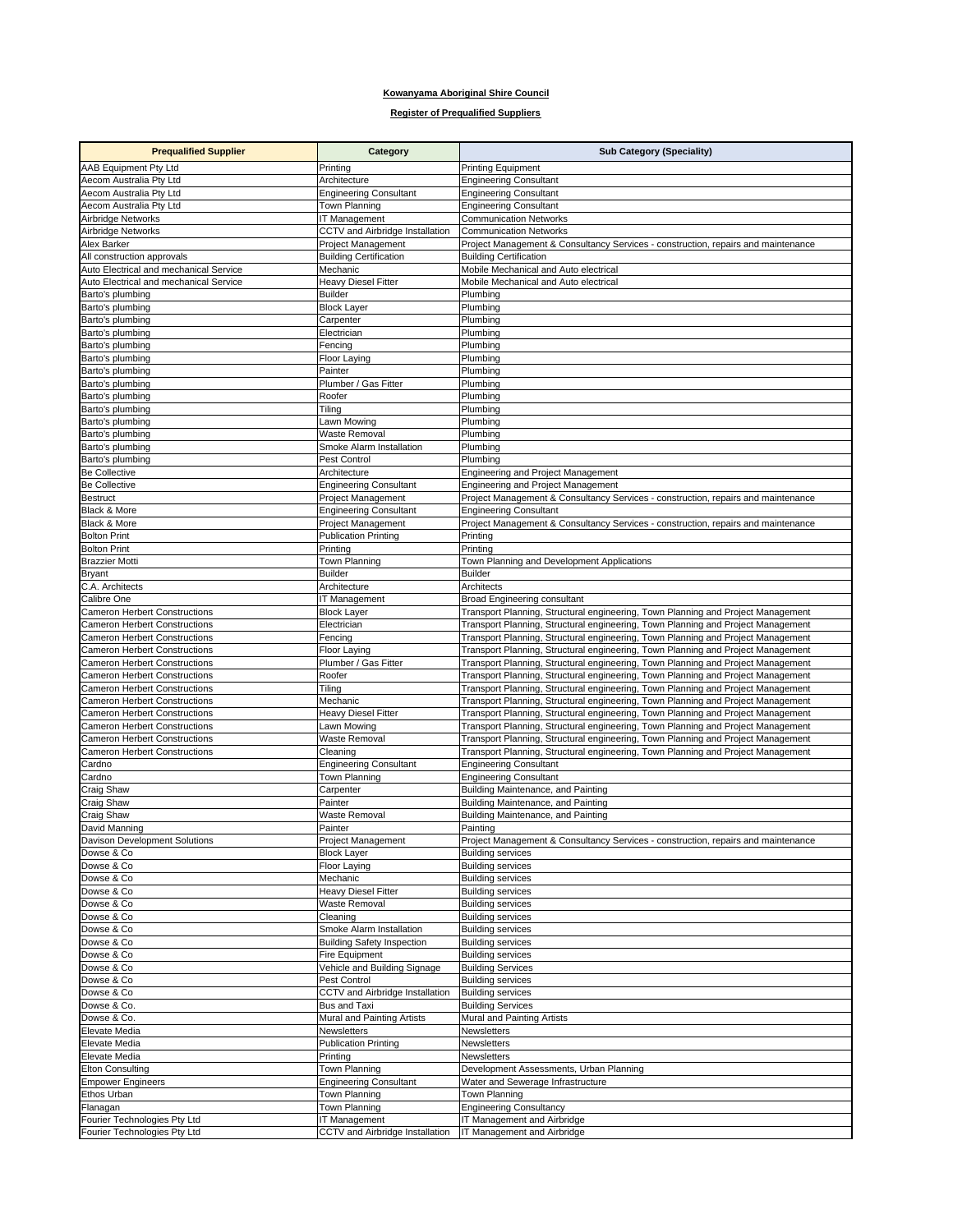## **Kowanyama Aboriginal Shire Council**

## **Register of Prequalified Suppliers**

| <b>Prequalified Supplier</b>                                                 | Category                                                 | <b>Sub Category (Speciality)</b>                                                                                                                                     |
|------------------------------------------------------------------------------|----------------------------------------------------------|----------------------------------------------------------------------------------------------------------------------------------------------------------------------|
| <b>AAB Equipment Pty Ltd</b>                                                 | Printing                                                 | <b>Printing Equipment</b>                                                                                                                                            |
| Aecom Australia Pty Ltd                                                      | Architecture                                             | <b>Engineering Consultant</b>                                                                                                                                        |
| Aecom Australia Pty Ltd                                                      | <b>Engineering Consultant</b>                            | <b>Engineering Consultant</b>                                                                                                                                        |
| Aecom Australia Pty Ltd                                                      | Town Planning                                            | <b>Engineering Consultant</b>                                                                                                                                        |
| Airbridge Networks                                                           | IT Management                                            | <b>Communication Networks</b>                                                                                                                                        |
| Airbridge Networks                                                           | CCTV and Airbridge Installation                          | <b>Communication Networks</b>                                                                                                                                        |
| Alex Barker                                                                  | Project Management                                       | Project Management & Consultancy Services - construction, repairs and maintenance                                                                                    |
| All construction approvals<br>Auto Electrical and mechanical Service         | <b>Building Certification</b><br>Mechanic                | <b>Building Certification</b><br>Mobile Mechanical and Auto electrical                                                                                               |
| Auto Electrical and mechanical Service                                       | <b>Heavy Diesel Fitter</b>                               | Mobile Mechanical and Auto electrical                                                                                                                                |
| Barto's plumbing                                                             | <b>Builder</b>                                           | Plumbing                                                                                                                                                             |
| Barto's plumbing                                                             | <b>Block Layer</b>                                       | Plumbing                                                                                                                                                             |
| Barto's plumbing                                                             | Carpenter                                                | Plumbing                                                                                                                                                             |
| Barto's plumbing                                                             | Electrician                                              | Plumbing                                                                                                                                                             |
| Barto's plumbing                                                             | Fencing                                                  | Plumbing                                                                                                                                                             |
| Barto's plumbing                                                             | <b>Floor Laying</b>                                      | Plumbing                                                                                                                                                             |
| Barto's plumbing                                                             | Painter                                                  | Plumbing                                                                                                                                                             |
| Barto's plumbing<br>Barto's plumbing                                         | Plumber / Gas Fitter<br>Roofer                           | Plumbing<br>Plumbing                                                                                                                                                 |
| Barto's plumbing                                                             | Tiling                                                   | Plumbing                                                                                                                                                             |
| Barto's plumbing                                                             | Lawn Mowing                                              | Plumbing                                                                                                                                                             |
| Barto's plumbing                                                             | <b>Waste Removal</b>                                     | Plumbing                                                                                                                                                             |
| Barto's plumbing                                                             | Smoke Alarm Installation                                 | Plumbing                                                                                                                                                             |
| Barto's plumbing                                                             | Pest Control                                             | Plumbing                                                                                                                                                             |
| <b>Be Collective</b>                                                         | Architecture                                             | Engineering and Project Management                                                                                                                                   |
| <b>Be Collective</b>                                                         | <b>Engineering Consultant</b>                            | Engineering and Project Management                                                                                                                                   |
| <b>Bestruct</b>                                                              | <b>Project Management</b>                                | Project Management & Consultancy Services - construction, repairs and maintenance                                                                                    |
| Black & More                                                                 | <b>Engineering Consultant</b>                            | <b>Engineering Consultant</b>                                                                                                                                        |
| Black & More<br><b>Bolton Print</b>                                          | <b>Project Management</b><br><b>Publication Printing</b> | Project Management & Consultancy Services - construction, repairs and maintenance<br>Printing                                                                        |
| <b>Bolton Print</b>                                                          | Printing                                                 | Printing                                                                                                                                                             |
| <b>Brazzier Motti</b>                                                        | Town Planning                                            | Town Planning and Development Applications                                                                                                                           |
| <b>Bryant</b>                                                                | <b>Builder</b>                                           | <b>Builder</b>                                                                                                                                                       |
| C.A. Architects                                                              | Architecture                                             | Architects                                                                                                                                                           |
| Calibre One                                                                  | IT Management                                            | Broad Engineering consultant                                                                                                                                         |
| <b>Cameron Herbert Constructions</b>                                         | <b>Block Layer</b>                                       | Transport Planning, Structural engineering, Town Planning and Project Management                                                                                     |
| <b>Cameron Herbert Constructions</b>                                         | Electrician                                              | Transport Planning, Structural engineering, Town Planning and Project Management                                                                                     |
| <b>Cameron Herbert Constructions</b>                                         | Fencing                                                  | Transport Planning, Structural engineering, Town Planning and Project Management                                                                                     |
| <b>Cameron Herbert Constructions</b>                                         | Floor Laying                                             | Transport Planning, Structural engineering, Town Planning and Project Management                                                                                     |
| <b>Cameron Herbert Constructions</b><br><b>Cameron Herbert Constructions</b> | Plumber / Gas Fitter<br>Roofer                           | Transport Planning, Structural engineering, Town Planning and Project Management<br>Transport Planning, Structural engineering, Town Planning and Project Management |
| <b>Cameron Herbert Constructions</b>                                         | Tiling                                                   | Transport Planning, Structural engineering, Town Planning and Project Management                                                                                     |
| <b>Cameron Herbert Constructions</b>                                         | Mechanic                                                 | Transport Planning, Structural engineering, Town Planning and Project Management                                                                                     |
| <b>Cameron Herbert Constructions</b>                                         | <b>Heavy Diesel Fitter</b>                               | Transport Planning, Structural engineering, Town Planning and Project Management                                                                                     |
| <b>Cameron Herbert Constructions</b>                                         | Lawn Mowing                                              | Transport Planning, Structural engineering, Town Planning and Project Management                                                                                     |
| <b>Cameron Herbert Constructions</b>                                         | <b>Waste Removal</b>                                     | Transport Planning, Structural engineering, Town Planning and Project Management                                                                                     |
| <b>Cameron Herbert Constructions</b>                                         | Cleaning                                                 | Transport Planning, Structural engineering, Town Planning and Project Management                                                                                     |
| Cardno                                                                       | <b>Engineering Consultant</b>                            | <b>Engineering Consultant</b>                                                                                                                                        |
| Cardno                                                                       | Town Planning<br>Carpenter                               | <b>Engineering Consultant</b>                                                                                                                                        |
| Craig Shaw<br>Craig Shaw                                                     | Painter                                                  | Building Maintenance, and Painting<br>Building Maintenance, and Painting                                                                                             |
| Craig Shaw                                                                   | <b>Waste Removal</b>                                     | Building Maintenance, and Painting                                                                                                                                   |
| David Manning                                                                | Painter                                                  | Painting                                                                                                                                                             |
| Davison Development Solutions                                                | Project Management                                       | Project Management & Consultancy Services - construction, repairs and maintenance                                                                                    |
| Dowse & Co                                                                   | <b>Block Layer</b>                                       | <b>Building services</b>                                                                                                                                             |
| Dowse & Co                                                                   | Floor Laying                                             | <b>Building services</b>                                                                                                                                             |
| Dowse & Co                                                                   | Mechanic                                                 | <b>Building services</b>                                                                                                                                             |
| Dowse & Co                                                                   | Heavy Diesel Fitter                                      | <b>Building services</b>                                                                                                                                             |
| Dowse & Co<br>Dowse & Co                                                     | Waste Removal<br>Cleaning                                | <b>Building services</b><br><b>Building services</b>                                                                                                                 |
| Dowse & Co                                                                   | Smoke Alarm Installation                                 | <b>Building services</b>                                                                                                                                             |
| Dowse & Co                                                                   | <b>Building Safety Inspection</b>                        | <b>Building services</b>                                                                                                                                             |
| Dowse & Co                                                                   | <b>Fire Equipment</b>                                    | <b>Building services</b>                                                                                                                                             |
| Dowse & Co                                                                   | Vehicle and Building Signage                             | <b>Building Services</b>                                                                                                                                             |
| Dowse & Co                                                                   | Pest Control                                             | <b>Building services</b>                                                                                                                                             |
| Dowse & Co                                                                   | CCTV and Airbridge Installation                          | <b>Building services</b>                                                                                                                                             |
| Dowse & Co.                                                                  | <b>Bus and Taxi</b>                                      | <b>Building Services</b>                                                                                                                                             |
| Dowse & Co.                                                                  | Mural and Painting Artists                               | Mural and Painting Artists                                                                                                                                           |
| Elevate Media                                                                | Newsletters                                              | Newsletters                                                                                                                                                          |
| Elevate Media                                                                | <b>Publication Printing</b>                              | Newsletters<br>Newsletters                                                                                                                                           |
| Elevate Media<br><b>Elton Consulting</b>                                     | Printing<br>Town Planning                                | Development Assessments, Urban Planning                                                                                                                              |
| <b>Empower Engineers</b>                                                     | <b>Engineering Consultant</b>                            | Water and Sewerage Infrastructure                                                                                                                                    |
| Ethos Urban                                                                  | Town Planning                                            | Town Planning                                                                                                                                                        |
| Flanagan                                                                     | Town Planning                                            | <b>Engineering Consultancy</b>                                                                                                                                       |
| Fourier Technologies Pty Ltd                                                 | IT Management                                            | IT Management and Airbridge                                                                                                                                          |
| Fourier Technologies Pty Ltd                                                 | CCTV and Airbridge Installation                          | IT Management and Airbridge                                                                                                                                          |